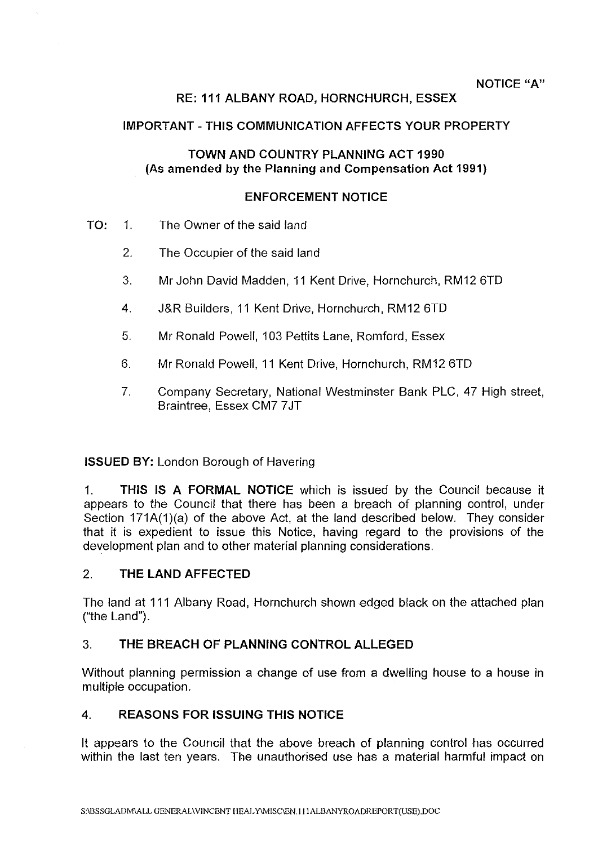# **RE:111ALBANYROAD,HORNCHURCH,ESSEX**

## **IMPORTANT-THIS COMMUNICATION AFFECTS YOUR PROPERTY**

### **TOWN AND COUNTRY PLANNING ACT 1990 (As amended by the Planning and Compensation Act 1991)**

#### **ENFORCEMENT NOTICE**

- **TO:** 1. The Owner of the said land
	- 2. The Occupier of the said land
	- 3. Mr John David Madden, 11 Kent Drive, Hornchurch, RM12 6TD
	- 4. J&R Builders, 11 Kent Drive, Hornchurch, RM12 6TD
	- 5. Mr Ronald Powell, 103 Pettits Lane, Romford, Essex
	- 6. Mr Ronald Powell, 11 Kent Drive, Hornchurch, RM12 6TD
	- 7. Company Secretary, National Westminster Bank PLC, 47 High street, Braintree, Essex CM7 7 JT

## **ISSUED BY:** London Borough of Havering

1. **THIS IS A FORMAL NOTICE** which is issued by the Council because it appears to the Council that there has been a breach of planning control, under Section 171A(1)(a) of the above Act, at the land described below. They consider that it is expedient to issue this Notice, having regard to the provisions of the development plan and to other material planning considerations.

## 2. **THE LAND AFFECTED**

The land at 111 Albany Road, Hornchurch shown edged black on the attached plan ("the Land").

## 3. **THE BREACH OF PLANNING CONTROL ALLEGED**

Without planning permission a change of use from a dwelling house to a house in multiple occupation.

## **4. REASONS FOR ISSUING THIS NOTICE**

It appears to the Council that the above breach of planning control has occurred within the last ten years. The unauthorised use has a material harmful impact on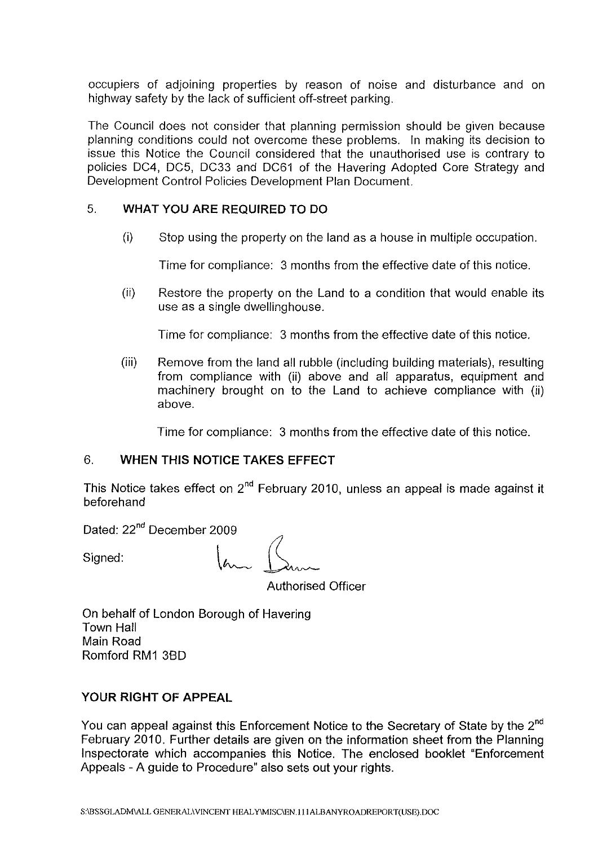occupiers of adjoining properties by reason of noise and disturbance and on highway safety by the lack of sufficient off-street parking.

The Council does not consider that planning permission should be given because planning conditions could not overcome these problems. In making its decision to issue this Notice the Council considered that the unauthorised use is contrary to policies DC4, DC5, DC33 and DC61 of the Havering Adopted Core Strategy and Development Control Policies Development Plan Document.

### 5. **WHAT YOU ARE REQUIRED TO DO**

(i) Stop using the property on the land as a house in multiple occupation.

Time for compliance: 3 months from the effective date of this notice.

(ii) Restore the property on the Land to a condition that would enable its use as a single dwellinghouse.

Time for compliance: 3 months from the effective date of this notice.

(iii) Remove from the land all rubble (including building materials), resulting from compliance with (ii) above and all apparatus, equipment and machinery brought on to the Land to achieve compliance with (ii) above.

Time for compliance: 3 months from the effective date of this notice.

# 6. **WHEN THIS NOTICE TAKES EFFECT**

This Notice takes effect on  $2^{nd}$  February 2010, unless an appeal is made against it beforehand

Dated: 22<sup>nd</sup> December 2009

Signed:  $\sqrt{a_{\mu\nu}}\int_{\mathcal{A}} d\mu$ 

Authorised Officer

On behalf of London Borough of Havering Town Hall Main Road Romford RM1 38D

## **YOUR RIGHT OF APPEAL**

You can appeal against this Enforcement Notice to the Secretary of State by the 2<sup>nd</sup> February 2010. Further details are given on the information sheet from the Planning Inspectorate which accompanies this Notice. The enclosed booklet "Enforcement Appeals - A guide to Procedure" also sets out your rights.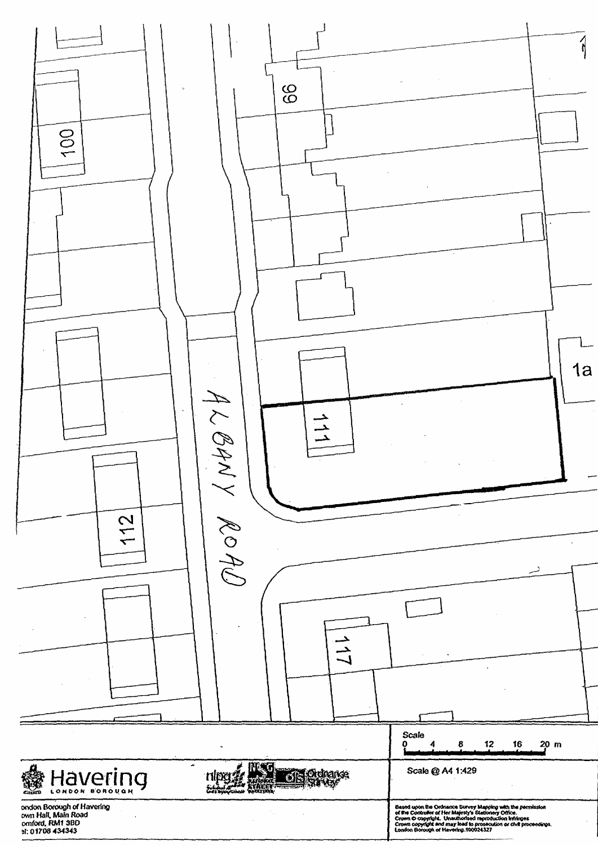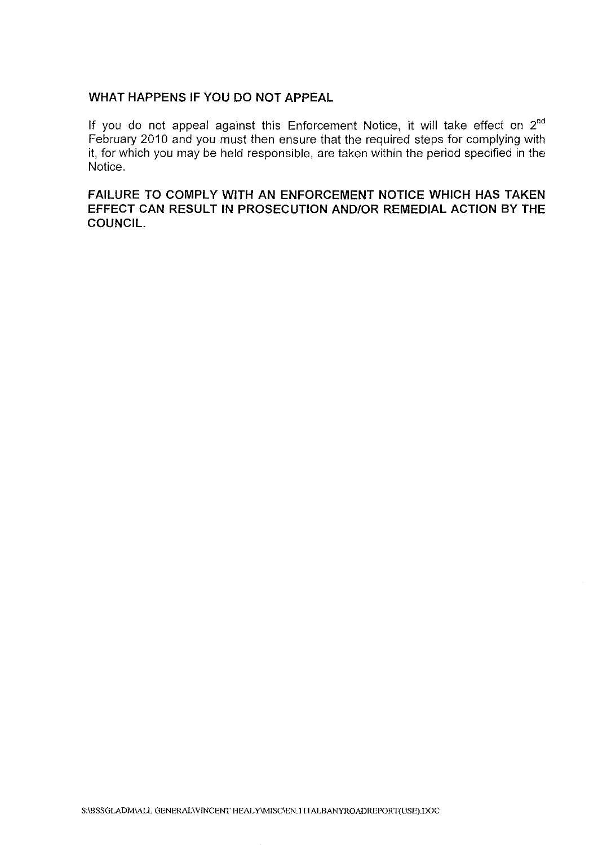## **WHAT HAPPENS IF YOU DO NOT APPEAL**

If you do not appeal against this Enforcement Notice, it will take effect on  $2<sup>nd</sup>$ February 2010 and you must then ensure that the required steps for complying with it, for which you may be held responsible, are taken within the period specified in the Notice.

**FAILURE TO COMPLY WITH AN ENFORCEMENT NOTICE WHICH HAS TAKEN EFFECT CAN RESULT IN PROSECUTION AND/OR REMEDIAL ACTION BY THE COUNCIL.**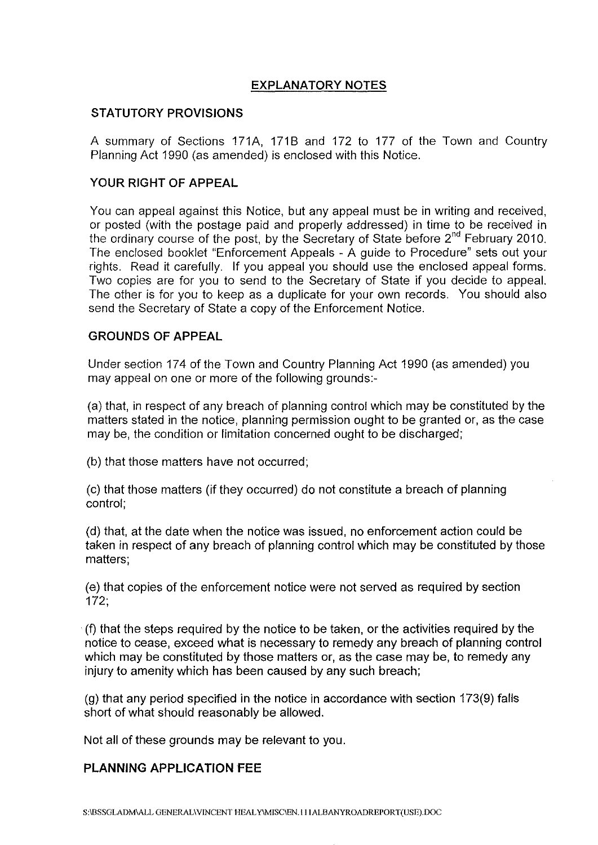# **EXPLANATORY NOTES**

# **STATUTORY PROVISIONS**

A summary of Sections 171A, 1718 and 172 to 177 of the Town and Country Planning Act 1990 (as amended) is enclosed with this Notice.

# **YOUR RIGHT OF APPEAL**

You can appeal against this Notice, but any appeal must be in writing and received, or posted (with the postage paid and properly addressed) in time to be received in the ordinary course of the post, by the Secretary of State before 2<sup>nd</sup> February 2010. The enclosed booklet "Enforcement Appeals - A guide to Procedure" sets out your rights. Read it carefully. If you appeal you should use the enclosed appeal forms. Two copies are for you to send to the Secretary of State if you decide to appeal. The other is for you to keep as a duplicate for your own records. You should also send the Secretary of State a copy of the Enforcement Notice.

## **GROUNDS OF APPEAL**

Under section 174 of the Town and Country Planning Act 1990 (as amended) you may appeal on one or more of the following grounds:-

(a) that, in respect of any breach of planning control which may be constituted by the matters stated in the notice, planning permission ought to be granted or, as the case may be, the condition or limitation concerned ought to be discharged;

(b) that those matters have not occurred;

(c) that those matters (if they occurred) do not constitute a breach of planning control;

(d) that, at the date when the notice was issued, no enforcement action could be taken in respect of any breach of planning control which may be constituted by those matters;

(e) that copies of the enforcement notice were not served as required by section 172;

(f) that the steps required by the notice to be taken, or the activities required by the notice to cease, exceed what is necessary to remedy any breach of planning control which may be constituted by those matters or, as the case may be, to remedy any injury to amenity which has been caused by any such breach;

(g) that any period specified in the notice in accordance with section 173(9) falls short of what should reasonably be allowed.

Not all of these grounds may be relevant to you.

## **PLANNING APPLICATION FEE**